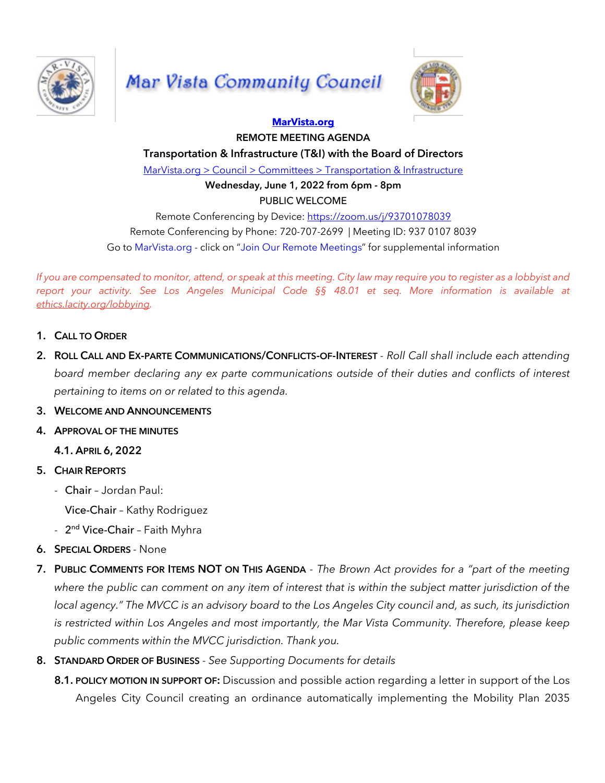

## Mar Vista Community Council



## **MarVista.org REMOTE MEETING AGENDA**

**Transportation & Infrastructure (T&I) with the Board of Directors**

MarVista.org > Council > Committees > Transportation & Infrastructure

**Wednesday, June 1, 2022 from 6pm - 8pm** PUBLIC WELCOME

Remote Conferencing by Device: https://zoom.us/j/93701078039 Remote Conferencing by Phone: 720-707-2699 | Meeting ID: 937 0107 8039 Go to MarVista.org - click on "Join Our Remote Meetings" for supplemental information

If you are compensated to monitor, attend, or speak at this meeting. City law may require you to register as a lobbyist and *report your activity. See Los Angeles Municipal Code §§ 48.01 et seq. More information is available at ethics.lacity.org/lobbying.*

- **1. CALL TO ORDER**
- **2. ROLL CALL AND EX-PARTE COMMUNICATIONS/CONFLICTS-OF-INTEREST** *- Roll Call shall include each attending board member declaring any ex parte communications outside of their duties and conflicts of interest pertaining to items on or related to this agenda.*
- **3. WELCOME AND ANNOUNCEMENTS**
- **4. APPROVAL OF THE MINUTES**

**4.1. APRIL 6, 2022**

- **5. CHAIR REPORTS**
	- Chair Jordan Paul:

Vice-Chair – Kathy Rodriguez

- 2<sup>nd</sup> Vice-Chair Faith Myhra
- **6. SPECIAL ORDERS** None
- 7. PUBLIC COMMENTS FOR ITEMS NOT ON THIS AGENDA The Brown Act provides for a "part of the meeting where the public can comment on any item of interest that is within the subject matter jurisdiction of the local agency." The MVCC is an advisory board to the Los Angeles City council and, as such, its jurisdiction *is restricted within Los Angeles and most importantly, the Mar Vista Community. Therefore, please keep public comments within the MVCC jurisdiction. Thank you.*
- **8. STANDARD ORDER OF BUSINESS** *- See Supporting Documents for details*
	- **8.1. POLICY MOTION IN SUPPORT OF:** Discussion and possible action regarding a letter in support of the Los Angeles City Council creating an ordinance automatically implementing the Mobility Plan 2035